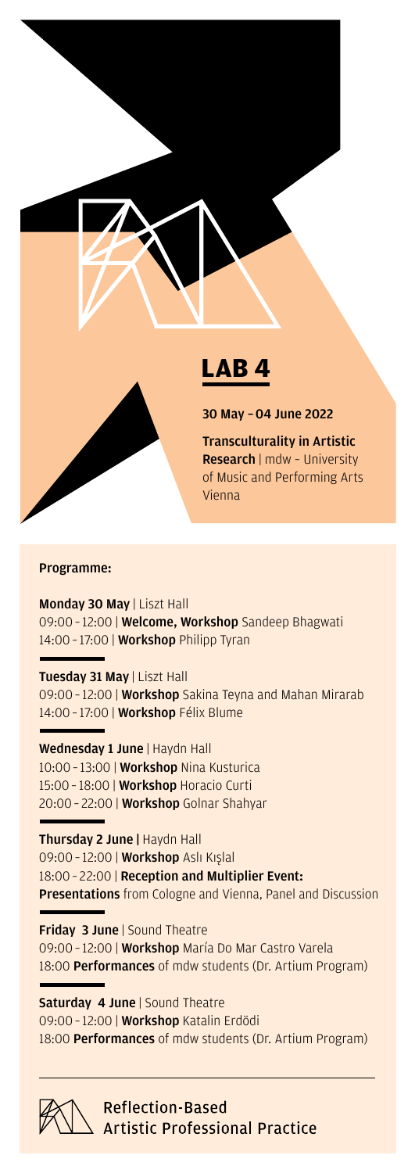

#### Programme:

Monday 30 May | Liszt Hall 09:00 – 12:00 | Welcome, Workshop Sandeep Bhagwati 14:00 - 17:00 | **Workshop** Philipp Tyran

#### Tuesday 31 May | Liszt Hall

09:00 – 12:00 | Workshop Sakina Teyna and Mahan Mirarab 14:00 – 17:00 | Workshop Félix Blume

Wednesday 1 June | Haydn Hall

10:00 – 13:00 | Workshop Nina Kusturica 15:00 – 18:00 | Workshop Horacio Curti 20:00 – 22:00 | Workshop Golnar Shahyar

Thursday 2 June | Haydn Hall 09:00 - 12:00 | Workshop Aslı Kışlal 18:00 – 22:00 | Reception and Multiplier Event: Presentations from Cologne and Vienna, Panel and Discussion

Friday 3 June | Sound Theatre 09:00 – 12:00 | Workshop María Do Mar Castro Varela 18:00 Performances of mdw students (Dr. Artium Program)

**Saturday 4 June | Sound Theatre** 09:00 – 12:00 | Workshop Katalin Erdödi 18:00 Performances of mdw students (Dr. Artium Program)



**Reflection-Based Artistic Professional Practice**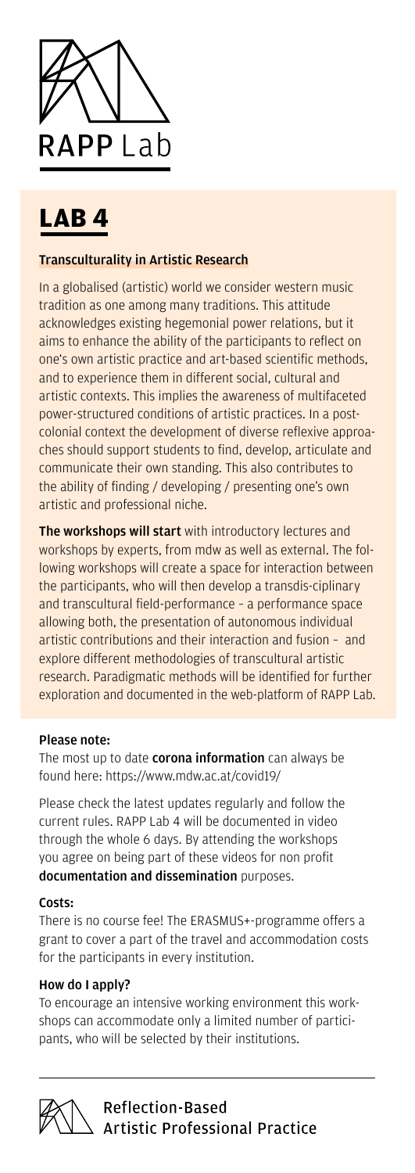

## **LAB 4**

#### Transculturality in Artistic Research

In a globalised (artistic) world we consider western music tradition as one among many traditions. This attitude acknowledges existing hegemonial power relations, but it aims to enhance the ability of the participants to reflect on one's own artistic practice and art-based scientific methods, and to experience them in different social, cultural and artistic contexts. This implies the awareness of multifaceted power-structured conditions of artistic practices. In a postcolonial context the development of diverse reflexive approaches should support students to find, develop, articulate and communicate their own standing. This also contributes to the ability of finding / developing / presenting one's own artistic and professional niche.

The workshops will start with introductory lectures and workshops by experts, from mdw as well as external. The following workshops will create a space for interaction between the participants, who will then develop a transdis-ciplinary and transcultural field-performance – a performance space allowing both, the presentation of autonomous individual artistic contributions and their interaction and fusion – and explore different methodologies of transcultural artistic research. Paradigmatic methods will be identified for further exploration and documented in the web-platform of RAPP Lab.

#### Please note:

The most up to date **corona information** can always be found here: https://www.mdw.ac.at/covid19/

Please check the latest updates regularly and follow the current rules. RAPP Lab 4 will be documented in video through the whole 6 days. By attending the workshops you agree on being part of these videos for non profit documentation and dissemination purposes.

#### Costs:

There is no course fee! The ERASMUS+-programme offers a grant to cover a part of the travel and accommodation costs for the participants in every institution.

#### How do I apply?

To encourage an intensive working environment this workshops can accommodate only a limited number of participants, who will be selected by their institutions.

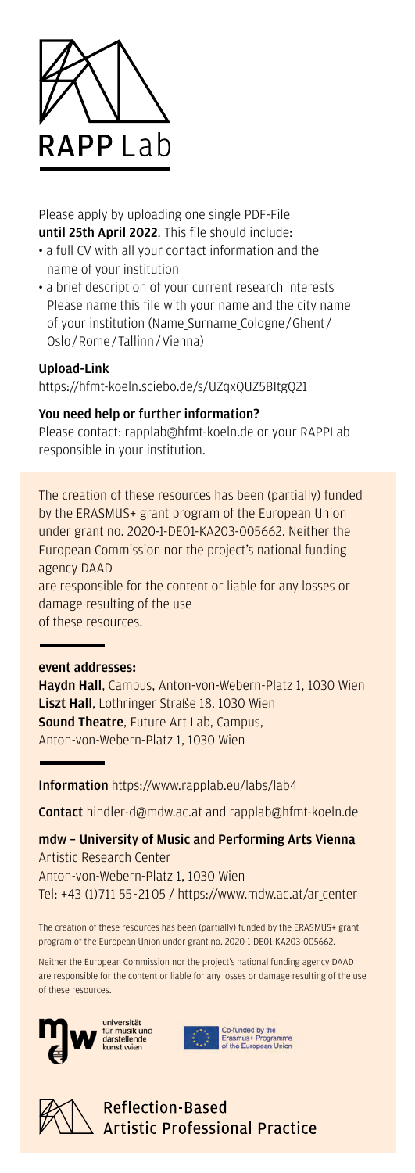

Please apply by uploading one single PDF-File until 25th April 2022. This file should include:

- a full CV with all your contact information and the name of your institution
- a brief description of your current research interests Please name this file with your name and the city name of your institution (Name\_Surname\_Cologne/Ghent/ Oslo/Rome/Tallinn/Vienna)

#### Upload-Link

https://hfmt-koeln.sciebo.de/s/UZqxQUZ5BItgQ21

#### You need help or further information?

Please contact: rapplab@hfmt-koeln.de or your RAPPLab responsible in your institution.

The creation of these resources has been (partially) funded by the ERASMUS+ grant program of the European Union under grant no. 2020-1-DE01-KA203-005662. Neither the European Commission nor the project's national funding agency DAAD

are responsible for the content or liable for any losses or damage resulting of the use

of these resources.

#### event addresses:

Haydn Hall, Campus, Anton-von-Webern-Platz 1, 1030 Wien Liszt Hall, Lothringer Straße 18, 1030 Wien **Sound Theatre, Future Art Lab, Campus,** Anton-von-Webern-Platz 1, 1030 Wien

Information https://www.rapplab.eu/labs/lab4

Contact hindler-d@mdw.ac.at and rapplab@hfmt-koeln.de

mdw – University of Music and Performing Arts Vienna Artistic Research Center Anton-von-Webern-Platz 1, 1030 Wien Tel: +43 (1) 711 55-2105 / https://www.mdw.ac.at/ar\_center

The creation of these resources has been (partially) funded by the ERASMUS+ grant program of the European Union under grant no. 2020-1-DE01-KA203-005662.

Neither the European Commission nor the project's national funding agency DAAD are responsible for the content or liable for any losses or damage resulting of the use of these resources.



universität<br>für musik und<br>darstellende<br>kunst wien



Co-funded by the<br>Erasmus+ Programme<br>of the European Union



**Reflection-Based Artistic Professional Practice**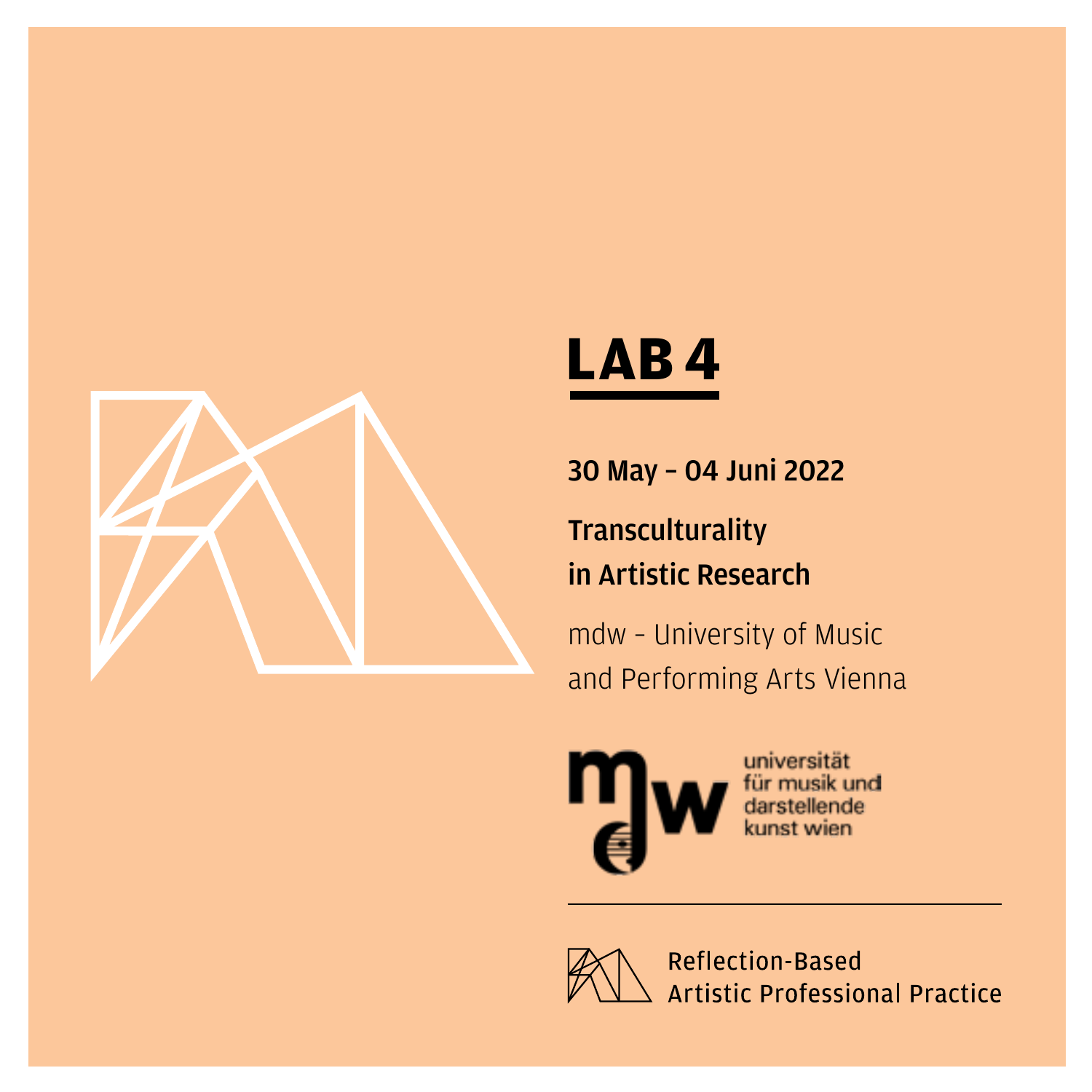

### **LAB 4**

30 May – 04 Juni 2022

**Transculturality** 

in Artistic Research

mdw – University of Music and Performing Arts Vienna



universität für musik und darstellende nst wien

**Reflection Based Artistic Professional Practice**